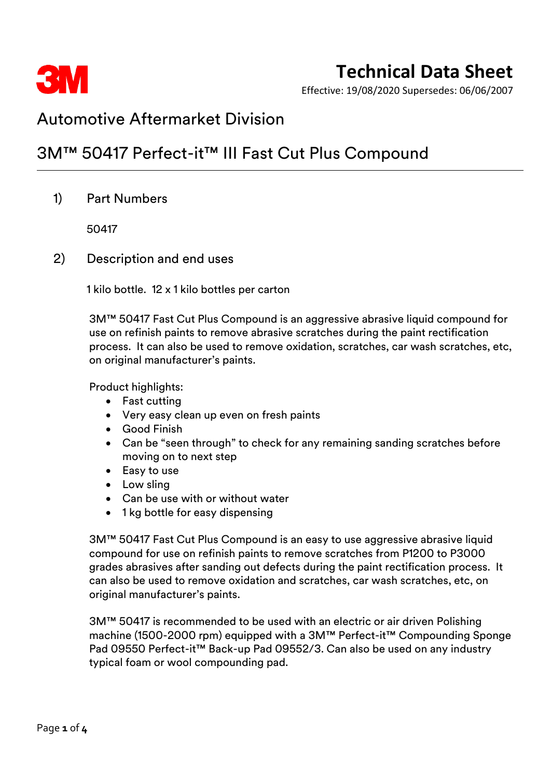

## **Technical Data Sheet**

Effective: 19/08/2020 Supersedes: 06/06/2007

### Automotive Aftermarket Division

### 3M™ 50417 Perfect-it™ III Fast Cut Plus Compound

1) Part Numbers

50417

2) Description and end uses

1 kilo bottle. 12 x 1 kilo bottles per carton

3M™ 50417 Fast Cut Plus Compound is an aggressive abrasive liquid compound for use on refinish paints to remove abrasive scratches during the paint rectification process. It can also be used to remove oxidation, scratches, car wash scratches, etc, on original manufacturer's paints.

Product highlights:

- Fast cutting
- Very easy clean up even on fresh paints
- Good Finish
- Can be "seen through" to check for any remaining sanding scratches before moving on to next step
- Easy to use
- Low sling
- Can be use with or without water
- 1 kg bottle for easy dispensing

3M™ 50417 Fast Cut Plus Compound is an easy to use aggressive abrasive liquid compound for use on refinish paints to remove scratches from P1200 to P3000 grades abrasives after sanding out defects during the paint rectification process. It can also be used to remove oxidation and scratches, car wash scratches, etc, on original manufacturer's paints.

3M™ 50417 is recommended to be used with an electric or air driven Polishing machine (1500-2000 rpm) equipped with a 3M™ Perfect-it™ Compounding Sponge Pad 09550 Perfect-it™ Back-up Pad 09552/3. Can also be used on any industry typical foam or wool compounding pad.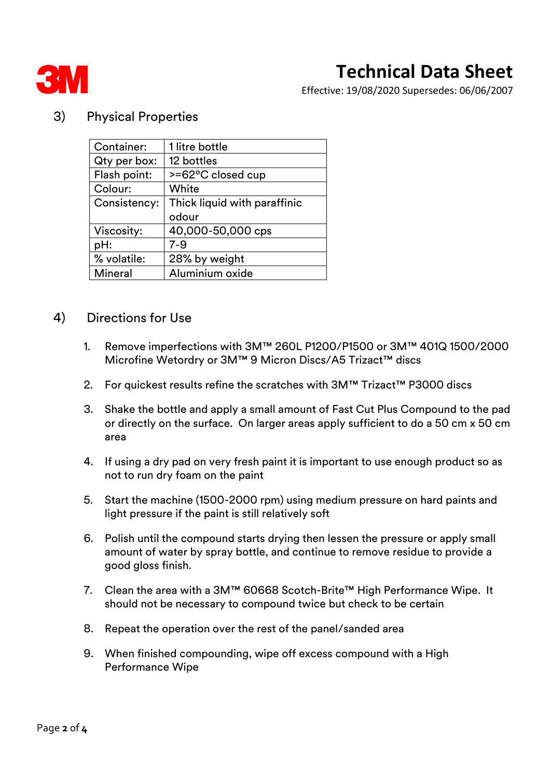

# **Technical Data Sheet**

Effective: 19/08/2020 Supersedes: 06/06/2007

### 3) Physical Properties

| Container:   | 1 litre bottle               |  |
|--------------|------------------------------|--|
| Qty per box: | 12 bottles                   |  |
| Flash point: | $>= 62^{\circ}$ C closed cup |  |
| Colour:      | White                        |  |
| Consistency: | Thick liquid with paraffinic |  |
|              | odour                        |  |
| Viscosity:   | 40,000-50,000 cps            |  |
| pH:          | $7 - 9$                      |  |
| % volatile:  | 28% by weight                |  |
|              |                              |  |

### 4) Directions for Use

- 1. Remove imperfections with 3M™ 260L P1200/P1500 or 3M™ 401Q 1500/2000 Microfine Wetordry or 3M™ 9 Micron Discs/A5 Trizact™ discs
- 2. For quickest results refine the scratches with 3M™ Trizact™ P3000 discs
- 3. Shake the bottle and apply a small amount of Fast Cut Plus Compound to the pad or directly on the surface. On larger areas apply sufficient to do a 50 cm x 50 cm area
- 4. If using a dry pad on very fresh paint it is important to use enough product so as not to run dry foam on the paint
- 5. Start the machine (1500-2000 rpm) using medium pressure on hard paints and light pressure if the paint is still relatively soft
- 6. Polish until the compound starts drying then lessen the pressure or apply small amount of water by spray bottle, and continue to remove residue to provide a good gloss finish.
- 7. Clean the area with a 3M™ 60668 Scotch-Brite™ High Performance Wipe. It should not be necessary to compound twice but check to be certain
- 8. Repeat the operation over the rest of the panel/sanded area
- 9. When finished compounding, wipe off excess compound with a High Performance Wipe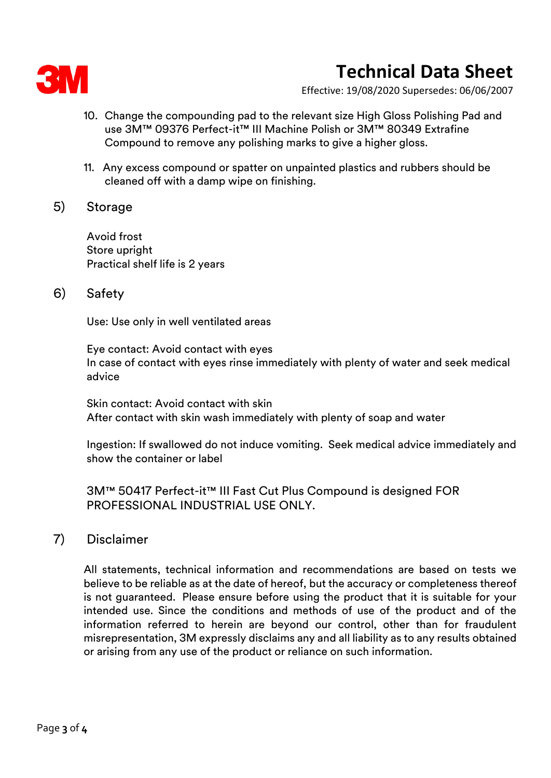

# **Technical Data Sheet**

Effective: 19/08/2020 Supersedes: 06/06/2007

- 10. Change the compounding pad to the relevant size High Gloss Polishing Pad and use 3M™ 09376 Perfect-it™ III Machine Polish or 3M™ 80349 Extrafine Compound to remove any polishing marks to give a higher gloss.
- 11. Any excess compound or spatter on unpainted plastics and rubbers should be cleaned off with a damp wipe on finishing.

### 5) Storage

Avoid frost Store upright Practical shelf life is 2 years

### 6) Safety

Use: Use only in well ventilated areas

Eye contact: Avoid contact with eyes In case of contact with eyes rinse immediately with plenty of water and seek medical advice

Skin contact: Avoid contact with skin After contact with skin wash immediately with plenty of soap and water

Ingestion: If swallowed do not induce vomiting. Seek medical advice immediately and show the container or label

3M™ 50417 Perfect-it™ III Fast Cut Plus Compound is designed FOR PROFESSIONAL INDUSTRIAL USE ONLY.

### 7) Disclaimer

All statements, technical information and recommendations are based on tests we believe to be reliable as at the date of hereof, but the accuracy or completeness thereof is not guaranteed. Please ensure before using the product that it is suitable for your intended use. Since the conditions and methods of use of the product and of the information referred to herein are beyond our control, other than for fraudulent misrepresentation, 3M expressly disclaims any and all liability as to any results obtained or arising from any use of the product or reliance on such information.